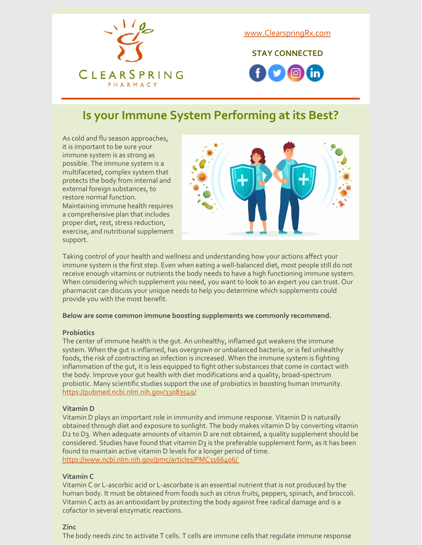

[www.ClearspringRx.com](https://www.clearspringrx.com)

**STAY CONNECTED**



## **Is your Immune System Performing at its Best?**

As cold and flu season approaches, it is important to be sure your immune system is as strong as possible. The immune system is a multifaceted, complex system that protects the body from internal and external foreign substances, to restore normal function. Maintaining immune health requires a comprehensive plan that includes proper diet, rest, stress reduction, exercise, and nutritional supplement support.



Taking control of your health and wellness and understanding how your actions affect your immune system is the first step. Even when eating a well-balanced diet, most people still do not receive enough vitamins or nutrients the body needs to have a high functioning immune system. When considering which supplement you need, you want to look to an expert you can trust. Our pharmacist can discuss your unique needs to help you determine which supplements could provide you with the most benefit.

#### **Below are some common immune boosting supplements we commonly recommend.**

#### **Probiotics**

The center of immune health is the gut. An unhealthy, inflamed gut weakens the immune system. When the gut is inflamed, has overgrown or unbalanced bacteria, or is fed unhealthy foods, the risk of contracting an infection is increased. When the immune system is fighting inflammation of the gut, it is less equipped to fight other substances that come in contact with the body. Improve your gut health with diet modifications and a quality, broad-spectrum probiotic. Many scientific studies support the use of probiotics in boosting human immunity. <https://pubmed.ncbi.nlm.nih.gov/33083549/>

#### **Vitamin D**

Vitamin D plays an important role in immunity and immune response. Vitamin D is naturally obtained through diet and exposure to sunlight. The body makes vitamin D by converting vitamin D2 to D3. When adequate amounts of vitamin D are not obtained, a quality supplement should be considered. Studies have found that vitamin D3 is the preferable supplement form, as it has been found to maintain active vitamin D levels for a longer period of time. <https://www.ncbi.nlm.nih.gov/pmc/articles/PMC3166406/>

#### **Vitamin C**

Vitamin C or L-ascorbic acid or L-ascorbate is an essential nutrient that is not produced by the human body. It must be obtained from foods such as citrus fruits, peppers, spinach, and broccoli. Vitamin C acts as an antioxidant by protecting the body against free radical damage and is a cofactor in several enzymatic reactions.

#### **Zinc**

The body needs zinc to activate T cells. T cells are immune cells that regulate immune response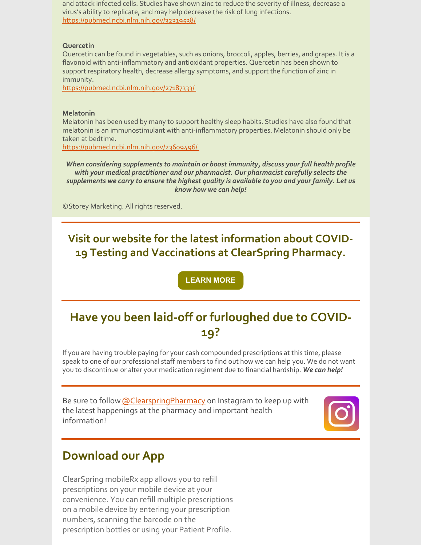and attack infected cells. Studies have shown zinc to reduce the severity of illness, decrease a virus's ability to replicate, and may help decrease the risk of lung infections. <https://pubmed.ncbi.nlm.nih.gov/32319538/>

### **Quercetin**

Quercetin can be found in vegetables, such as onions, broccoli, apples, berries, and grapes. It is a flavonoid with anti-inflammatory and antioxidant properties. Quercetin has been shown to support respiratory health, decrease allergy symptoms, and support the function of zinc in immunity.

<https://pubmed.ncbi.nlm.nih.gov/27187333/>

### **Melatonin**

Melatonin has been used by many to support healthy sleep habits. Studies have also found that melatonin is an immunostimulant with anti-inflammatory properties. Melatonin should only be taken at bedtime.

<https://pubmed.ncbi.nlm.nih.gov/23609496/>

*When considering supplements to maintain or boost immunity, discuss your full health profile with your medical practitioner and our pharmacist. Our pharmacist carefully selects the supplements we carry to ensure the highest quality is available to you and your family. Let us know how we can help!*

©Storey Marketing. All rights reserved.

## **Visit our website for the latest information about COVID-19 Testing and Vaccinations at ClearSpring Pharmacy.**

**[LEARN](https://clearspringrx.com/covid-19.php) MORE**

# **Have you been laid-off or furloughed due to COVID-19?**

If you are having trouble paying for your cash compounded prescriptions at this time, please speak to one of our professional staff members to find out how we can help you. We do not want you to discontinue or alter your medication regiment due to financial hardship. *We can help!*

Be sure to follow **[@ClearspringPharmacy](https://www.instagram.com/clearspringpharmacy/)** on Instagram to keep up with the latest happenings at the pharmacy and important health information!



## **Download our App**

ClearSpring mobileRx app allows you to refill prescriptions on your mobile device at your convenience. You can refill multiple prescriptions on a mobile device by entering your prescription numbers, scanning the barcode on the prescription bottles or using your Patient Profile.